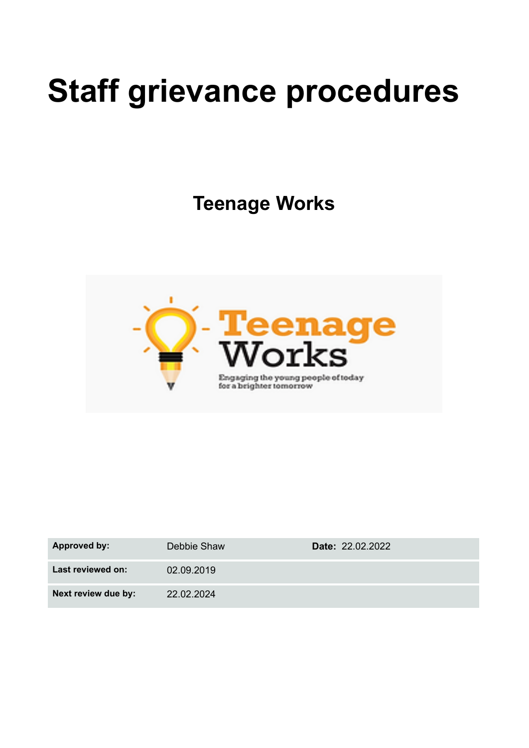# **Staff grievance procedures**

**Teenage Works**



| Approved by:        | Debbie Shaw | Date: 22.02.2022 |
|---------------------|-------------|------------------|
| Last reviewed on:   | 02.09.2019  |                  |
| Next review due by: | 22.02.2024  |                  |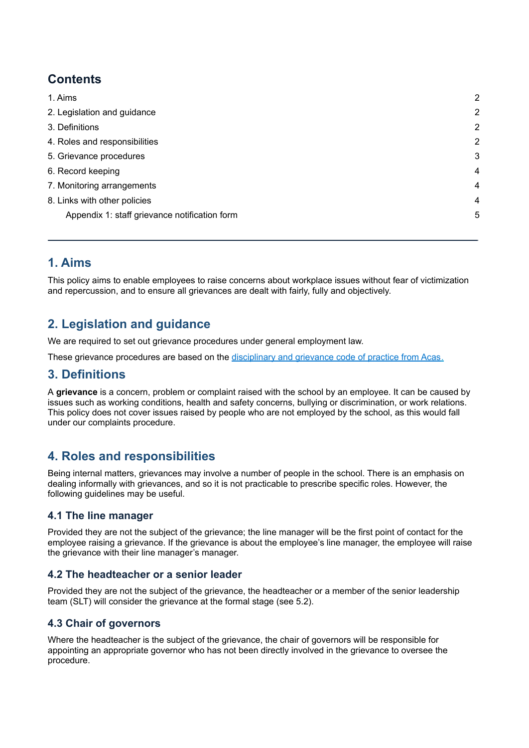# **Contents**

| 1. Aims                                       | $\overline{2}$ |
|-----------------------------------------------|----------------|
| 2. Legislation and guidance                   | 2              |
| 3. Definitions                                | $\overline{2}$ |
| 4. Roles and responsibilities                 | $\overline{2}$ |
| 5. Grievance procedures                       | 3              |
| 6. Record keeping                             | 4              |
| 7. Monitoring arrangements                    | 4              |
| 8. Links with other policies                  | 4              |
| Appendix 1: staff grievance notification form | 5              |
|                                               |                |

# <span id="page-1-0"></span>**1. Aims**

This policy aims to enable employees to raise concerns about workplace issues without fear of victimization and repercussion, and to ensure all grievances are dealt with fairly, fully and objectively.

# <span id="page-1-1"></span>**2. Legislation and guidance**

We are required to set out grievance procedures under general employment law.

<span id="page-1-2"></span>These grievance procedures are based on the [disciplinary](http://www.acas.org.uk/media/pdf/f/m/Acas-Code-of-Practice-1-on-disciplinary-and-grievance-procedures.pdf) and grievance code of practice from Acas.

## **3. Definitions**

A **grievance** is a concern, problem or complaint raised with the school by an employee. It can be caused by issues such as working conditions, health and safety concerns, bullying or discrimination, or work relations. This policy does not cover issues raised by people who are not employed by the school, as this would fall under our complaints procedure.

# <span id="page-1-3"></span>**4. Roles and responsibilities**

Being internal matters, grievances may involve a number of people in the school. There is an emphasis on dealing informally with grievances, and so it is not practicable to prescribe specific roles. However, the following guidelines may be useful.

## **4.1 The line manager**

Provided they are not the subject of the grievance; the line manager will be the first point of contact for the employee raising a grievance. If the grievance is about the employee's line manager, the employee will raise the grievance with their line manager's manager.

## **4.2 The headteacher or a senior leader**

Provided they are not the subject of the grievance, the headteacher or a member of the senior leadership team (SLT) will consider the grievance at the formal stage (see 5.2).

## **4.3 Chair of governors**

Where the headteacher is the subject of the grievance, the chair of governors will be responsible for appointing an appropriate governor who has not been directly involved in the grievance to oversee the procedure.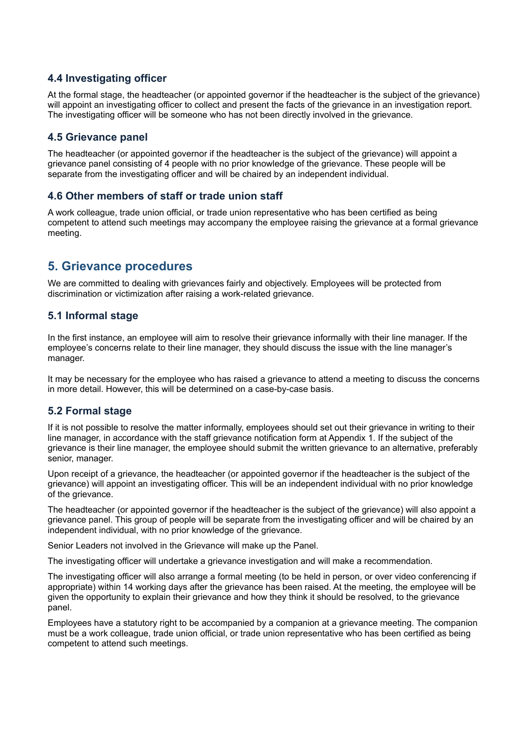## **4.4 Investigating officer**

At the formal stage, the headteacher (or appointed governor if the headteacher is the subject of the grievance) will appoint an investigating officer to collect and present the facts of the grievance in an investigation report. The investigating officer will be someone who has not been directly involved in the grievance.

#### **4.5 Grievance panel**

The headteacher (or appointed governor if the headteacher is the subject of the grievance) will appoint a grievance panel consisting of 4 people with no prior knowledge of the grievance. These people will be separate from the investigating officer and will be chaired by an independent individual.

#### **4.6 Other members of staff or trade union staff**

A work colleague, trade union official, or trade union representative who has been certified as being competent to attend such meetings may accompany the employee raising the grievance at a formal grievance meeting.

## <span id="page-2-0"></span>**5. Grievance procedures**

We are committed to dealing with grievances fairly and objectively. Employees will be protected from discrimination or victimization after raising a work-related grievance.

#### **5.1 Informal stage**

In the first instance, an employee will aim to resolve their grievance informally with their line manager. If the employee's concerns relate to their line manager, they should discuss the issue with the line manager's manager.

It may be necessary for the employee who has raised a grievance to attend a meeting to discuss the concerns in more detail. However, this will be determined on a case-by-case basis.

#### **5.2 Formal stage**

If it is not possible to resolve the matter informally, employees should set out their grievance in writing to their line manager, in accordance with the staff grievance notification form at Appendix 1. If the subject of the grievance is their line manager, the employee should submit the written grievance to an alternative, preferably senior, manager.

Upon receipt of a grievance, the headteacher (or appointed governor if the headteacher is the subject of the grievance) will appoint an investigating officer. This will be an independent individual with no prior knowledge of the grievance.

The headteacher (or appointed governor if the headteacher is the subject of the grievance) will also appoint a grievance panel. This group of people will be separate from the investigating officer and will be chaired by an independent individual, with no prior knowledge of the grievance.

Senior Leaders not involved in the Grievance will make up the Panel.

The investigating officer will undertake a grievance investigation and will make a recommendation.

The investigating officer will also arrange a formal meeting (to be held in person, or over video conferencing if appropriate) within 14 working days after the grievance has been raised. At the meeting, the employee will be given the opportunity to explain their grievance and how they think it should be resolved, to the grievance panel.

Employees have a statutory right to be accompanied by a companion at a grievance meeting. The companion must be a work colleague, trade union official, or trade union representative who has been certified as being competent to attend such meetings.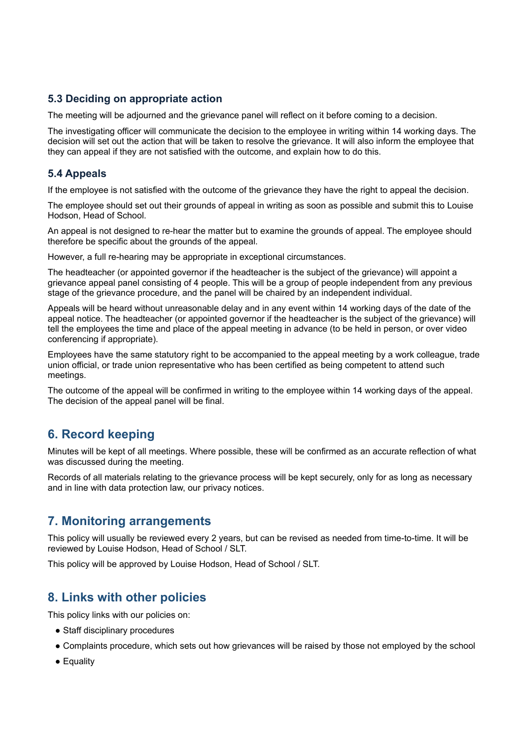## **5.3 Deciding on appropriate action**

The meeting will be adjourned and the grievance panel will reflect on it before coming to a decision.

The investigating officer will communicate the decision to the employee in writing within 14 working days. The decision will set out the action that will be taken to resolve the grievance. It will also inform the employee that they can appeal if they are not satisfied with the outcome, and explain how to do this.

## **5.4 Appeals**

If the employee is not satisfied with the outcome of the grievance they have the right to appeal the decision.

The employee should set out their grounds of appeal in writing as soon as possible and submit this to Louise Hodson, Head of School.

An appeal is not designed to re-hear the matter but to examine the grounds of appeal. The employee should therefore be specific about the grounds of the appeal.

However, a full re-hearing may be appropriate in exceptional circumstances.

The headteacher (or appointed governor if the headteacher is the subject of the grievance) will appoint a grievance appeal panel consisting of 4 people. This will be a group of people independent from any previous stage of the grievance procedure, and the panel will be chaired by an independent individual.

Appeals will be heard without unreasonable delay and in any event within 14 working days of the date of the appeal notice. The headteacher (or appointed governor if the headteacher is the subject of the grievance) will tell the employees the time and place of the appeal meeting in advance (to be held in person, or over video conferencing if appropriate).

Employees have the same statutory right to be accompanied to the appeal meeting by a work colleague, trade union official, or trade union representative who has been certified as being competent to attend such meetings.

The outcome of the appeal will be confirmed in writing to the employee within 14 working days of the appeal. The decision of the appeal panel will be final.

# <span id="page-3-0"></span>**6. Record keeping**

Minutes will be kept of all meetings. Where possible, these will be confirmed as an accurate reflection of what was discussed during the meeting.

Records of all materials relating to the grievance process will be kept securely, only for as long as necessary and in line with data protection law, our privacy notices.

## <span id="page-3-1"></span>**7. Monitoring arrangements**

This policy will usually be reviewed every 2 years, but can be revised as needed from time-to-time. It will be reviewed by Louise Hodson, Head of School / SLT.

<span id="page-3-2"></span>This policy will be approved by Louise Hodson, Head of School / SLT.

## **8. Links with other policies**

This policy links with our policies on:

- Staff disciplinary procedures
- Complaints procedure, which sets out how grievances will be raised by those not employed by the school
- Equality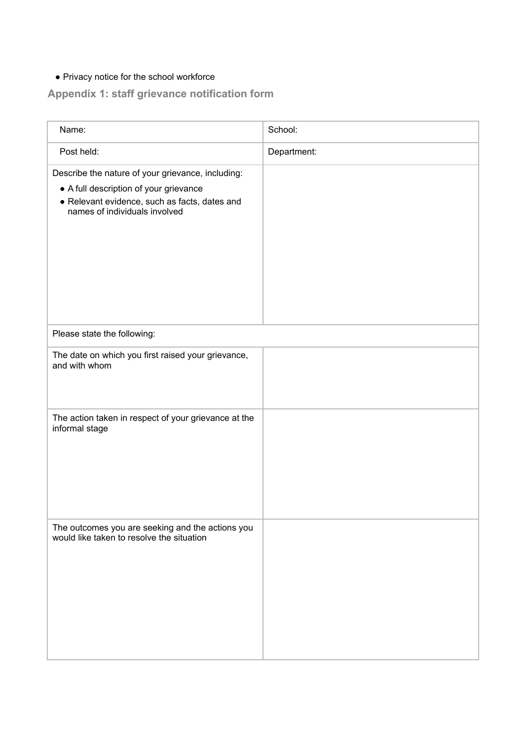# <span id="page-4-0"></span>● Privacy notice for the school workforce

# **Appendix 1: staff grievance notification form**

| Name:                                                                                                                                                                         | School:     |  |
|-------------------------------------------------------------------------------------------------------------------------------------------------------------------------------|-------------|--|
| Post held:                                                                                                                                                                    | Department: |  |
| Describe the nature of your grievance, including:<br>• A full description of your grievance<br>· Relevant evidence, such as facts, dates and<br>names of individuals involved |             |  |
| Please state the following:                                                                                                                                                   |             |  |
| The date on which you first raised your grievance,<br>and with whom                                                                                                           |             |  |
| The action taken in respect of your grievance at the<br>informal stage                                                                                                        |             |  |
| The outcomes you are seeking and the actions you<br>would like taken to resolve the situation                                                                                 |             |  |